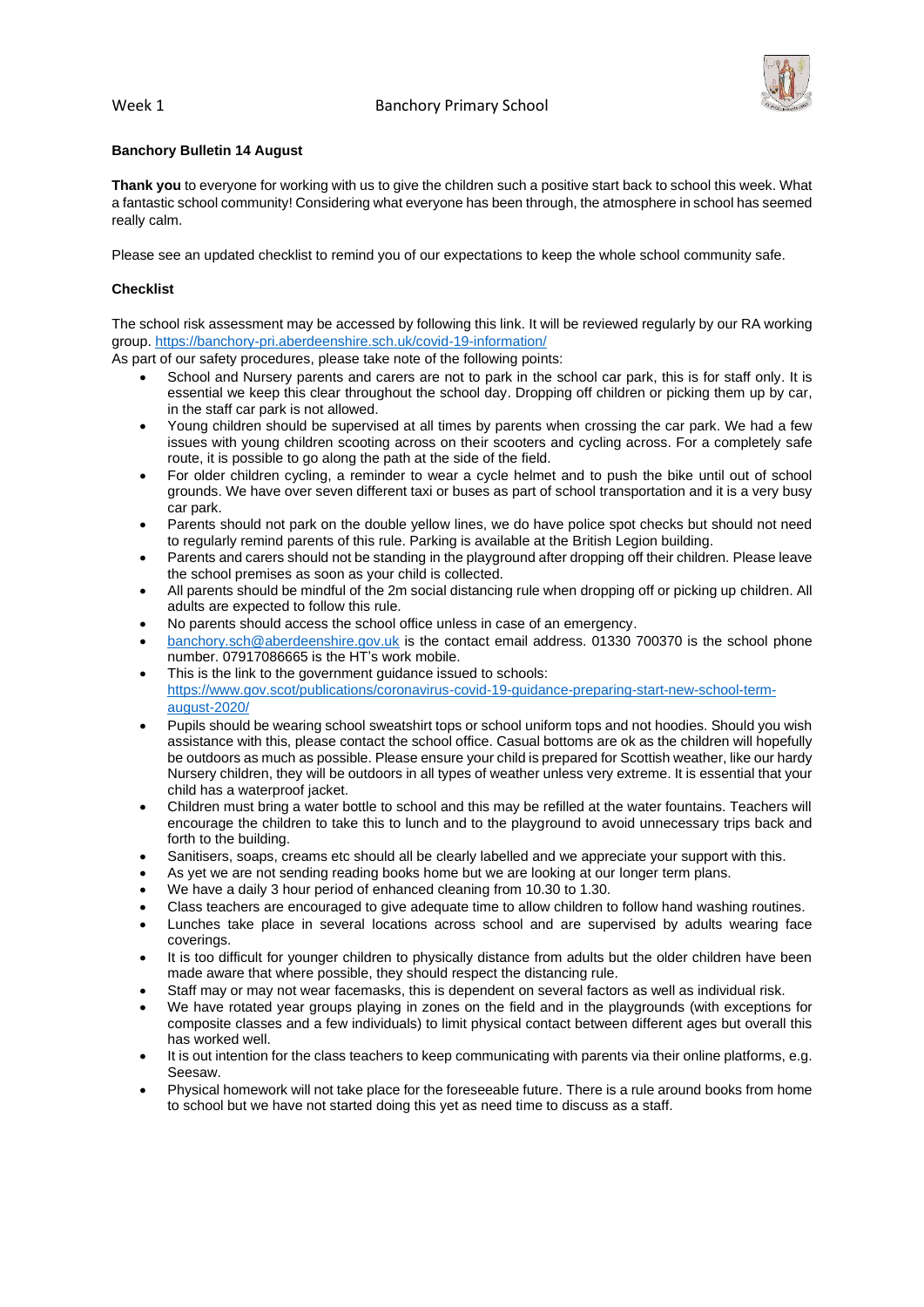

# **Banchory Bulletin 14 August**

**Thank you** to everyone for working with us to give the children such a positive start back to school this week. What a fantastic school community! Considering what everyone has been through, the atmosphere in school has seemed really calm.

Please see an updated checklist to remind you of our expectations to keep the whole school community safe.

# **Checklist**

The school risk assessment may be accessed by following this link. It will be reviewed regularly by our RA working group. <https://banchory-pri.aberdeenshire.sch.uk/covid-19-information/>

As part of our safety procedures, please take note of the following points:

- School and Nursery parents and carers are not to park in the school car park, this is for staff only. It is essential we keep this clear throughout the school day. Dropping off children or picking them up by car, in the staff car park is not allowed.
- Young children should be supervised at all times by parents when crossing the car park. We had a few issues with young children scooting across on their scooters and cycling across. For a completely safe route, it is possible to go along the path at the side of the field.
- For older children cycling, a reminder to wear a cycle helmet and to push the bike until out of school grounds. We have over seven different taxi or buses as part of school transportation and it is a very busy car park.
- Parents should not park on the double yellow lines, we do have police spot checks but should not need to regularly remind parents of this rule. Parking is available at the British Legion building.
- Parents and carers should not be standing in the playground after dropping off their children. Please leave the school premises as soon as your child is collected.
- All parents should be mindful of the 2m social distancing rule when dropping off or picking up children. All adults are expected to follow this rule.
- No parents should access the school office unless in case of an emergency.
- [banchory.sch@aberdeenshire.gov.uk](mailto:banchory.sch@aberdeenshire.gov.uk) is the contact email address. 01330 700370 is the school phone number. 07917086665 is the HT's work mobile.
- This is the link to the government guidance issued to schools: [https://www.gov.scot/publications/coronavirus-covid-19-guidance-preparing-start-new-school-term](https://www.gov.scot/publications/coronavirus-covid-19-guidance-preparing-start-new-school-term-august-2020/)[august-2020/](https://www.gov.scot/publications/coronavirus-covid-19-guidance-preparing-start-new-school-term-august-2020/)
- Pupils should be wearing school sweatshirt tops or school uniform tops and not hoodies. Should you wish assistance with this, please contact the school office. Casual bottoms are ok as the children will hopefully be outdoors as much as possible. Please ensure your child is prepared for Scottish weather, like our hardy Nursery children, they will be outdoors in all types of weather unless very extreme. It is essential that your child has a waterproof jacket.
- Children must bring a water bottle to school and this may be refilled at the water fountains. Teachers will encourage the children to take this to lunch and to the playground to avoid unnecessary trips back and forth to the building.
- Sanitisers, soaps, creams etc should all be clearly labelled and we appreciate your support with this.
- As yet we are not sending reading books home but we are looking at our longer term plans.
- We have a daily 3 hour period of enhanced cleaning from 10.30 to 1.30.
- Class teachers are encouraged to give adequate time to allow children to follow hand washing routines.
- Lunches take place in several locations across school and are supervised by adults wearing face coverings.
- It is too difficult for younger children to physically distance from adults but the older children have been made aware that where possible, they should respect the distancing rule.
- Staff may or may not wear facemasks, this is dependent on several factors as well as individual risk.
- We have rotated year groups playing in zones on the field and in the playgrounds (with exceptions for composite classes and a few individuals) to limit physical contact between different ages but overall this has worked well.
- It is out intention for the class teachers to keep communicating with parents via their online platforms, e.g. Seesaw.
- Physical homework will not take place for the foreseeable future. There is a rule around books from home to school but we have not started doing this yet as need time to discuss as a staff.